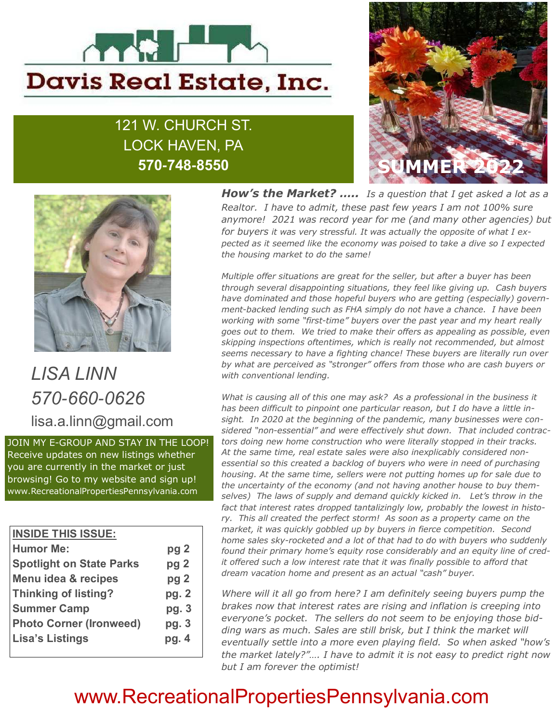

# 121 W. CHURCH ST. LOCK HAVEN, PA 570**-**748**-**8550





LISA LINN 570-660-0626 lisa.a.linn@gmail.com

JOIN MY E-GROUP AND STAY IN THE LOOP! Receive updates on new listings whether you are currently in the market or just browsing! Go to my website and sign up! www.RecreationalPropertiesPennsylvania.com

| <b>INSIDE THIS ISSUE:</b>       |                 |
|---------------------------------|-----------------|
| <b>Humor Me:</b>                | pg <sub>2</sub> |
| <b>Spotlight on State Parks</b> | pg <sub>2</sub> |
| <b>Menu idea &amp; recipes</b>  | pg <sub>2</sub> |
| <b>Thinking of listing?</b>     | pg. 2           |
| <b>Summer Camp</b>              | pg. 3           |
| <b>Photo Corner (Ironweed)</b>  | pg.3            |
| <b>Lisa's Listings</b>          | pg. 4           |
|                                 |                 |

**How's the Market?** ….. Is a question that I get asked a lot as a Realtor. I have to admit, these past few years I am not 100% sure anymore! 2021 was record year for me (and many other agencies) but for buyers it was very stressful. It was actually the opposite of what I expected as it seemed like the economy was poised to take a dive so I expected the housing market to do the same!

Multiple offer situations are great for the seller, but after a buyer has been through several disappointing situations, they feel like giving up. Cash buyers have dominated and those hopeful buyers who are getting (especially) government-backed lending such as FHA simply do not have a chance. I have been working with some "first-time" buyers over the past year and my heart really goes out to them. We tried to make their offers as appealing as possible, even skipping inspections oftentimes, which is really not recommended, but almost seems necessary to have a fighting chance! These buyers are literally run over by what are perceived as "stronger" offers from those who are cash buyers or with conventional lending.

What is causing all of this one may ask? As a professional in the business it has been difficult to pinpoint one particular reason, but I do have a little insight. In 2020 at the beginning of the pandemic, many businesses were considered "non-essential" and were effectively shut down. That included contractors doing new home construction who were literally stopped in their tracks. At the same time, real estate sales were also inexplicably considered nonessential so this created a backlog of buyers who were in need of purchasing housing. At the same time, sellers were not putting homes up for sale due to the uncertainty of the economy (and not having another house to buy themselves) The laws of supply and demand quickly kicked in. Let's throw in the fact that interest rates dropped tantalizingly low, probably the lowest in history. This all created the perfect storm! As soon as a property came on the market, it was quickly gobbled up by buyers in fierce competition. Second home sales sky-rocketed and a lot of that had to do with buyers who suddenly found their primary home's equity rose considerably and an equity line of credit offered such a low interest rate that it was finally possible to afford that dream vacation home and present as an actual "cash" buyer.

Where will it all go from here? I am definitely seeing buyers pump the brakes now that interest rates are rising and inflation is creeping into everyone's pocket. The sellers do not seem to be enjoying those bidding wars as much. Sales are still brisk, but I think the market will eventually settle into a more even playing field. So when asked "how's the market lately?"…. I have to admit it is not easy to predict right now but I am forever the optimist!

# www.RecreationalPropertiesPennsylvania.com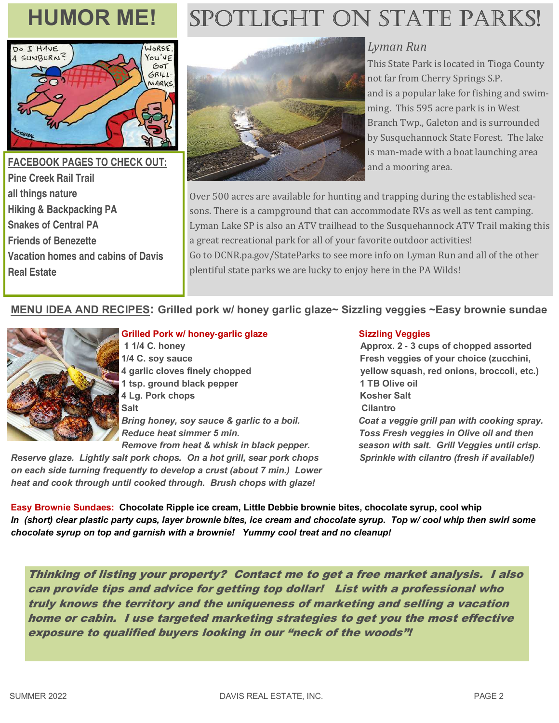

## **FACEBOOK PAGES TO CHECK OUT: Pine Creek Rail Trail all things nature Hiking & Backpacking PA Snakes of Central PA Friends of Benezette Vacation homes and cabins of Davis Real Estate**

# HUMOR ME! SPOTLIGHT ON STATE PARKS!



## Lyman Run

This State Park is located in Tioga County not far from Cherry Springs S.P. and is a popular lake for fishing and swimming. This 595 acre park is in West Branch Twp., Galeton and is surrounded by Susquehannock State Forest. The lake is man-made with a boat launching area and a mooring area.

Over 500 acres are available for hunting and trapping during the established seasons. There is a campground that can accommodate RVs as well as tent camping. Lyman Lake SP is also an ATV trailhead to the Susquehannock ATV Trail making this a great recreational park for all of your favorite outdoor activities! Go to DCNR.pa.gov/StateParks to see more info on Lyman Run and all of the other plentiful state parks we are lucky to enjoy here in the PA Wilds!

#### MENU IDEA AND RECIPES: Grilled pork w/ honey garlic glaze~ Sizzling veggies ~Easy brownie sundae



#### Grilled Pork w/ honey-garlic glaze Sizzling Veggies

1 tsp. ground black pepper 1 TB Olive oil 4 Lg. Pork chops Kosher Salt Salt Cilantro

Reserve glaze. Lightly salt pork chops. On a hot grill, sear pork chops Sprinkle with cilantro (fresh if available!) on each side turning frequently to develop a crust (about 7 min.) Lower heat and cook through until cooked through. Brush chops with glaze!

 1 1/4 C. honey Approx. 2 **-** 3 cups of chopped assorted 1/4 C. soy sauce Fresh veggies of your choice (zucchini, 4 garlic cloves finely chopped yellow squash, red onions, broccoli, etc.) Bring honey, soy sauce & garlic to a boil. Coat a veggie grill pan with cooking spray. Reduce heat simmer 5 min. Toss Fresh veggies in Olive oil and then Remove from heat & whisk in black pepper. season with salt. Grill Veggies until crisp.

Easy Brownie Sundaes: Chocolate Ripple ice cream, Little Debbie brownie bites, chocolate syrup, cool whip In (short) clear plastic party cups, layer brownie bites, ice cream and chocolate syrup. Top w/ cool whip then swirl some chocolate syrup on top and garnish with a brownie! Yummy cool treat and no cleanup!

Thinking of listing your property? Contact me to get a free market analysis. I also can provide tips and advice for getting top dollar! List with a professional who truly knows the territory and the uniqueness of marketing and selling a vacation home or cabin. I use targeted marketing strategies to get you the most effective exposure to qualified buyers looking in our "neck of the woods"!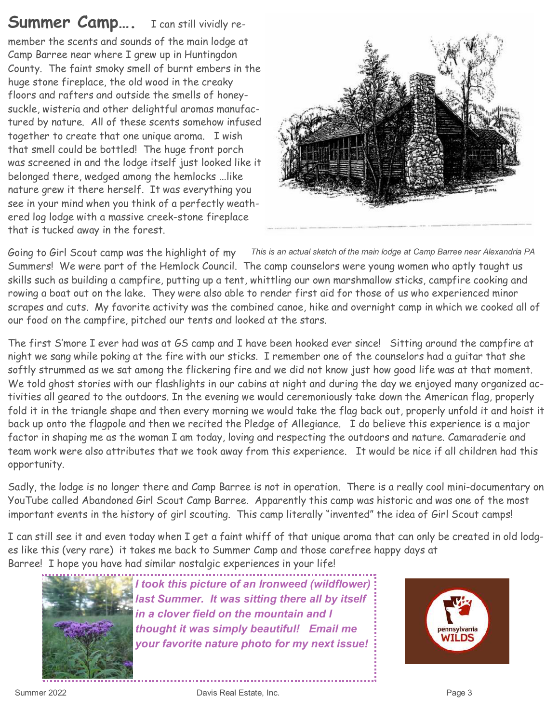# Summer Camp.... I can still vividly re-

member the scents and sounds of the main lodge at Camp Barree near where I grew up in Huntingdon County. The faint smoky smell of burnt embers in the huge stone fireplace, the old wood in the creaky floors and rafters and outside the smells of honeysuckle, wisteria and other delightful aromas manufactured by nature. All of these scents somehow infused together to create that one unique aroma. I wish that smell could be bottled! The huge front porch was screened in and the lodge itself just looked like it belonged there, wedged among the hemlocks ...like nature grew it there herself. It was everything you see in your mind when you think of a perfectly weathered log lodge with a massive creek-stone fireplace that is tucked away in the forest.



Going to Girl Scout camp was the highlight of my this is an actual sketch of the main lodge at Camp Barree near Alexandria PA Summers! We were part of the Hemlock Council. The camp counselors were young women who aptly taught us skills such as building a campfire, putting up a tent, whittling our own marshmallow sticks, campfire cooking and rowing a boat out on the lake. They were also able to render first aid for those of us who experienced minor scrapes and cuts. My favorite activity was the combined canoe, hike and overnight camp in which we cooked all of our food on the campfire, pitched our tents and looked at the stars.

The first S'more I ever had was at GS camp and I have been hooked ever since! Sitting around the campfire at night we sang while poking at the fire with our sticks. I remember one of the counselors had a guitar that she softly strummed as we sat among the flickering fire and we did not know just how good life was at that moment. We told ghost stories with our flashlights in our cabins at night and during the day we enjoyed many organized activities all geared to the outdoors. In the evening we would ceremoniously take down the American flag, properly fold it in the triangle shape and then every morning we would take the flag back out, properly unfold it and hoist it back up onto the flagpole and then we recited the Pledge of Allegiance. I do believe this experience is a major factor in shaping me as the woman I am today, loving and respecting the outdoors and nature. Camaraderie and team work were also attributes that we took away from this experience. It would be nice if all children had this opportunity.

Sadly, the lodge is no longer there and Camp Barree is not in operation. There is a really cool mini-documentary on YouTube called Abandoned Girl Scout Camp Barree. Apparently this camp was historic and was one of the most important events in the history of girl scouting. This camp literally "invented" the idea of Girl Scout camps!

I can still see it and even today when I get a faint whiff of that unique aroma that can only be created in old lodges like this (very rare) it takes me back to Summer Camp and those carefree happy days at Barree! I hope you have had similar nostalgic experiences in your life!



I took this picture of an Ironweed (wildflower) last Summer. It was sitting there all by itself in a clover field on the mountain and I thought it was simply beautiful! Email me your favorite nature photo for my next issue!